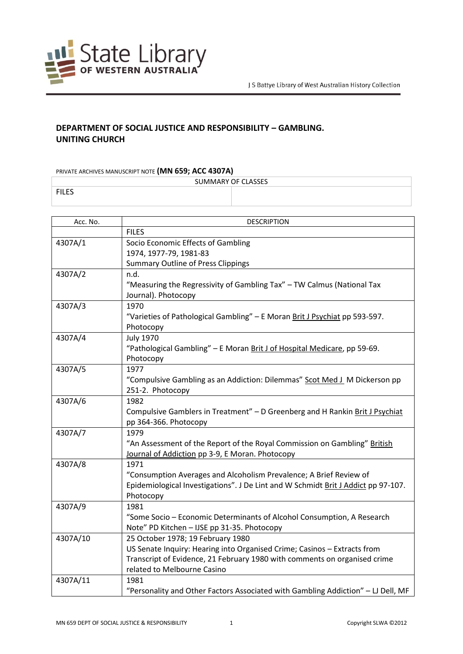

## **DEPARTMENT OF SOCIAL JUSTICE AND RESPONSIBILITY – GAMBLING. UNITING CHURCH**

## PRIVATE ARCHIVES MANUSCRIPT NOTE **(MN 659; ACC 4307A)**

| SUMMARY OF CLASSES |  |  |
|--------------------|--|--|
|                    |  |  |

| Acc. No. | <b>DESCRIPTION</b>                                                                                       |
|----------|----------------------------------------------------------------------------------------------------------|
|          | <b>FILES</b>                                                                                             |
| 4307A/1  | Socio Economic Effects of Gambling                                                                       |
|          | 1974, 1977-79, 1981-83                                                                                   |
|          | <b>Summary Outline of Press Clippings</b>                                                                |
| 4307A/2  | n.d.                                                                                                     |
|          | "Measuring the Regressivity of Gambling Tax" - TW Calmus (National Tax                                   |
|          | Journal). Photocopy                                                                                      |
| 4307A/3  | 1970                                                                                                     |
|          | "Varieties of Pathological Gambling" - E Moran Brit J Psychiat pp 593-597.                               |
|          | Photocopy                                                                                                |
| 4307A/4  | <b>July 1970</b>                                                                                         |
|          | "Pathological Gambling" - E Moran Brit J of Hospital Medicare, pp 59-69.                                 |
|          | Photocopy                                                                                                |
| 4307A/5  | 1977                                                                                                     |
|          | "Compulsive Gambling as an Addiction: Dilemmas" Scot Med J_M Dickerson pp                                |
|          | 251-2. Photocopy                                                                                         |
| 4307A/6  | 1982                                                                                                     |
|          | Compulsive Gamblers in Treatment" - D Greenberg and H Rankin Brit J Psychiat                             |
|          | pp 364-366. Photocopy                                                                                    |
| 4307A/7  | 1979                                                                                                     |
|          | "An Assessment of the Report of the Royal Commission on Gambling" British                                |
|          | Journal of Addiction pp 3-9, E Moran. Photocopy                                                          |
| 4307A/8  | 1971                                                                                                     |
|          | "Consumption Averages and Alcoholism Prevalence; A Brief Review of                                       |
|          | Epidemiological Investigations". J De Lint and W Schmidt Brit J Addict pp 97-107.                        |
|          | Photocopy                                                                                                |
| 4307A/9  | 1981                                                                                                     |
|          | "Some Socio - Economic Determinants of Alcohol Consumption, A Research                                   |
|          | Note" PD Kitchen - IJSE pp 31-35. Photocopy                                                              |
| 4307A/10 | 25 October 1978; 19 February 1980                                                                        |
|          | US Senate Inquiry: Hearing into Organised Crime; Casinos - Extracts from                                 |
|          | Transcript of Evidence, 21 February 1980 with comments on organised crime<br>related to Melbourne Casino |
| 4307A/11 | 1981                                                                                                     |
|          | "Personality and Other Factors Associated with Gambling Addiction" - LJ Dell, MF                         |
|          |                                                                                                          |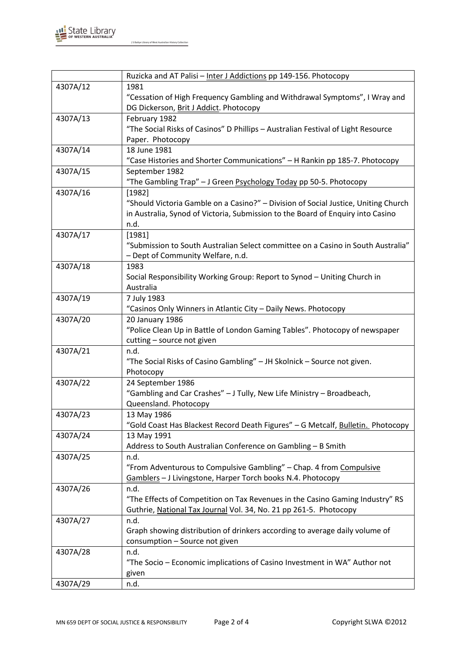

J S Battye Library of West Australian History Collection

|          | Ruzicka and AT Palisi - Inter J Addictions pp 149-156. Photocopy                   |
|----------|------------------------------------------------------------------------------------|
| 4307A/12 | 1981                                                                               |
|          | "Cessation of High Frequency Gambling and Withdrawal Symptoms", I Wray and         |
|          | DG Dickerson, Brit J Addict. Photocopy                                             |
| 4307A/13 | February 1982                                                                      |
|          | "The Social Risks of Casinos" D Phillips - Australian Festival of Light Resource   |
|          | Paper. Photocopy                                                                   |
| 4307A/14 | 18 June 1981                                                                       |
|          | "Case Histories and Shorter Communications" - H Rankin pp 185-7. Photocopy         |
| 4307A/15 | September 1982                                                                     |
|          | "The Gambling Trap" - J Green Psychology Today pp 50-5. Photocopy                  |
| 4307A/16 | [1982]                                                                             |
|          | "Should Victoria Gamble on a Casino?" - Division of Social Justice, Uniting Church |
|          | in Australia, Synod of Victoria, Submission to the Board of Enquiry into Casino    |
|          | n.d.                                                                               |
| 4307A/17 | [1981]                                                                             |
|          | "Submission to South Australian Select committee on a Casino in South Australia"   |
|          | - Dept of Community Welfare, n.d.                                                  |
| 4307A/18 | 1983                                                                               |
|          | Social Responsibility Working Group: Report to Synod - Uniting Church in           |
|          | Australia                                                                          |
| 4307A/19 | 7 July 1983                                                                        |
|          | "Casinos Only Winners in Atlantic City - Daily News. Photocopy                     |
| 4307A/20 | 20 January 1986                                                                    |
|          | "Police Clean Up in Battle of London Gaming Tables". Photocopy of newspaper        |
|          | cutting - source not given                                                         |
| 4307A/21 | n.d.                                                                               |
|          | "The Social Risks of Casino Gambling" - JH Skolnick - Source not given.            |
|          | Photocopy                                                                          |
| 4307A/22 | 24 September 1986                                                                  |
|          | "Gambling and Car Crashes" - J Tully, New Life Ministry - Broadbeach,              |
|          | Queensland. Photocopy                                                              |
| 4307A/23 | 13 May 1986                                                                        |
|          | "Gold Coast Has Blackest Record Death Figures" - G Metcalf, Bulletin. Photocopy    |
| 4307A/24 | 13 May 1991                                                                        |
|          | Address to South Australian Conference on Gambling - B Smith                       |
| 4307A/25 | n.d.                                                                               |
|          | "From Adventurous to Compulsive Gambling" - Chap. 4 from Compulsive                |
|          | Gamblers - J Livingstone, Harper Torch books N.4. Photocopy                        |
| 4307A/26 | n.d.                                                                               |
|          | "The Effects of Competition on Tax Revenues in the Casino Gaming Industry" RS      |
|          | Guthrie, National Tax Journal Vol. 34, No. 21 pp 261-5. Photocopy                  |
| 4307A/27 | n.d.                                                                               |
|          | Graph showing distribution of drinkers according to average daily volume of        |
|          | consumption - Source not given                                                     |
| 4307A/28 | n.d.                                                                               |
|          | "The Socio - Economic implications of Casino Investment in WA" Author not          |
|          | given                                                                              |
| 4307A/29 | n.d.                                                                               |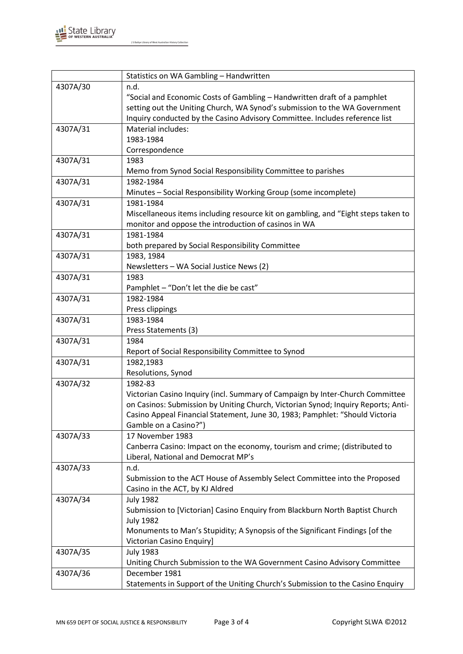

J S Battye Library of West Australian History Collection

|          | Statistics on WA Gambling - Handwritten                                           |
|----------|-----------------------------------------------------------------------------------|
| 4307A/30 | n.d.                                                                              |
|          | "Social and Economic Costs of Gambling - Handwritten draft of a pamphlet          |
|          | setting out the Uniting Church, WA Synod's submission to the WA Government        |
|          | Inquiry conducted by the Casino Advisory Committee. Includes reference list       |
| 4307A/31 | Material includes:                                                                |
|          | 1983-1984                                                                         |
|          | Correspondence                                                                    |
| 4307A/31 | 1983                                                                              |
|          | Memo from Synod Social Responsibility Committee to parishes                       |
| 4307A/31 | 1982-1984                                                                         |
|          | Minutes - Social Responsibility Working Group (some incomplete)                   |
| 4307A/31 | 1981-1984                                                                         |
|          | Miscellaneous items including resource kit on gambling, and "Eight steps taken to |
|          | monitor and oppose the introduction of casinos in WA                              |
| 4307A/31 | 1981-1984                                                                         |
|          | both prepared by Social Responsibility Committee                                  |
| 4307A/31 | 1983, 1984                                                                        |
|          | Newsletters - WA Social Justice News (2)                                          |
| 4307A/31 | 1983                                                                              |
|          | Pamphlet - "Don't let the die be cast"                                            |
| 4307A/31 | 1982-1984                                                                         |
|          | Press clippings                                                                   |
| 4307A/31 | 1983-1984                                                                         |
|          | Press Statements (3)                                                              |
| 4307A/31 | 1984                                                                              |
|          | Report of Social Responsibility Committee to Synod                                |
| 4307A/31 | 1982,1983                                                                         |
|          | Resolutions, Synod                                                                |
| 4307A/32 | 1982-83                                                                           |
|          | Victorian Casino Inquiry (incl. Summary of Campaign by Inter-Church Committee     |
|          | on Casinos: Submission by Uniting Church, Victorian Synod; Inquiry Reports; Anti- |
|          | Casino Appeal Financial Statement, June 30, 1983; Pamphlet: "Should Victoria      |
|          | Gamble on a Casino?")                                                             |
| 4307A/33 | 17 November 1983                                                                  |
|          | Canberra Casino: Impact on the economy, tourism and crime; (distributed to        |
|          | Liberal, National and Democrat MP's                                               |
| 4307A/33 | n.d.                                                                              |
|          | Submission to the ACT House of Assembly Select Committee into the Proposed        |
|          | Casino in the ACT, by KJ Aldred                                                   |
| 4307A/34 | <b>July 1982</b>                                                                  |
|          | Submission to [Victorian] Casino Enquiry from Blackburn North Baptist Church      |
|          | <b>July 1982</b>                                                                  |
|          | Monuments to Man's Stupidity; A Synopsis of the Significant Findings [of the      |
|          | Victorian Casino Enquiry]                                                         |
| 4307A/35 | <b>July 1983</b>                                                                  |
|          | Uniting Church Submission to the WA Government Casino Advisory Committee          |
| 4307A/36 | December 1981                                                                     |
|          | Statements in Support of the Uniting Church's Submission to the Casino Enquiry    |